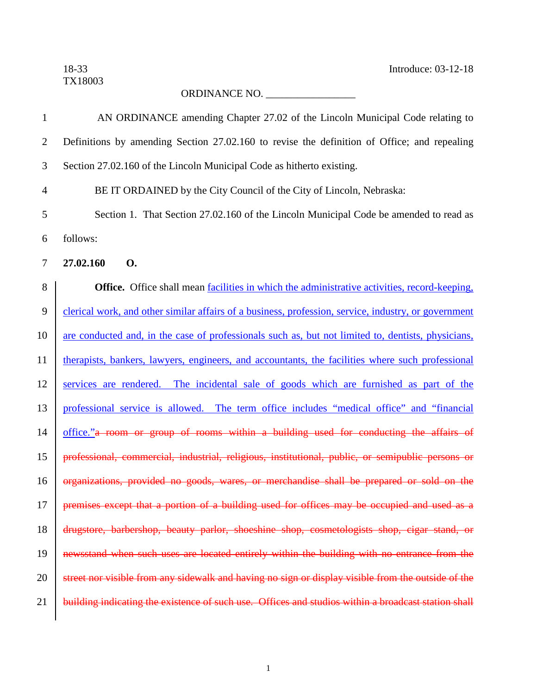TX18003

18-33 Introduce: 03-12-18

## ORDINANCE NO. \_\_\_\_\_\_\_\_\_\_\_\_\_\_\_\_\_

| $\mathbf{1}$   | AN ORDINANCE amending Chapter 27.02 of the Lincoln Municipal Code relating to                        |
|----------------|------------------------------------------------------------------------------------------------------|
| $\overline{2}$ | Definitions by amending Section 27.02.160 to revise the definition of Office; and repealing          |
| 3              | Section 27.02.160 of the Lincoln Municipal Code as hitherto existing.                                |
| $\overline{4}$ | BE IT ORDAINED by the City Council of the City of Lincoln, Nebraska:                                 |
| 5              | Section 1. That Section 27.02.160 of the Lincoln Municipal Code be amended to read as                |
| 6              | follows:                                                                                             |
| $\overline{7}$ | 27.02.160<br><b>O.</b>                                                                               |
| $8\,$          | <b>Office.</b> Office shall mean facilities in which the administrative activities, record-keeping,  |
| 9              | clerical work, and other similar affairs of a business, profession, service, industry, or government |
| 10             | are conducted and, in the case of professionals such as, but not limited to, dentists, physicians,   |
| 11             | therapists, bankers, lawyers, engineers, and accountants, the facilities where such professional     |
| 12             | services are rendered. The incidental sale of goods which are furnished as part of the               |
| 13             | professional service is allowed. The term office includes "medical office" and "financial            |
| 14             | office." a room or group of rooms within a building used for conducting the affairs of               |
| 15             | professional, commercial, industrial, religious, institutional, public, or semipublic persons or     |
| 16             | organizations, provided no goods, wares, or merchandise shall be prepared or sold on the             |
| 17             | premises except that a portion of a building used for offices may be occupied and used as a          |
| 18             | drugstore, barbershop, beauty parlor, shoeshine shop, cosmetologists shop, cigar stand, or           |
| 19             | newsstand when such uses are located entirely within the building with no entrance from the          |
| 20             | street nor visible from any sidewalk and having no sign or display visible from the outside of the   |
| 21             | building indicating the existence of such use. Offices and studios within a broadcast station shall  |
|                |                                                                                                      |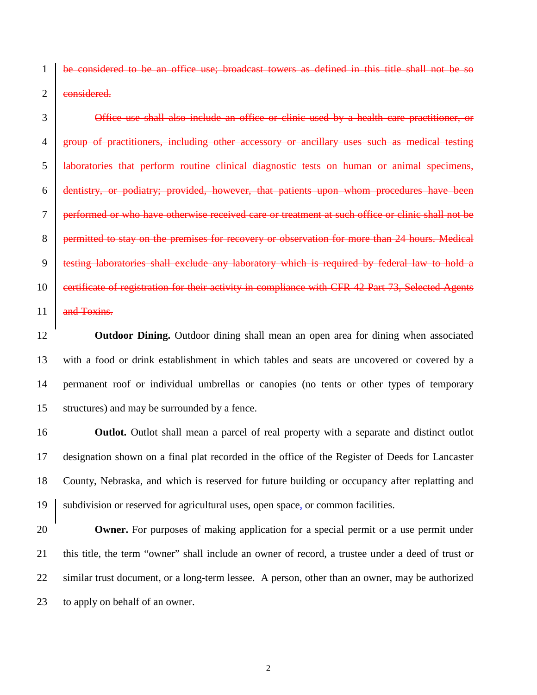be considered to be an office use; broadcast towers as defined in this title shall not be so 2 eonsidered.

**Office use shall also include an office or clinic used by a health care practitioner, or** 4 group of practitioners, including other accessory or ancillary uses such as medical testing laboratories that perform routine clinical diagnostic tests on human or animal specimens, dentistry, or podiatry; provided, however, that patients upon whom procedures have been performed or who have otherwise received care or treatment at such office or clinic shall not be 8 permitted to stay on the premises for recovery or observation for more than 24 hours. Medical testing laboratories shall exclude any laboratory which is required by federal law to hold a 10 certificate of registration for their activity in compliance with CFR 42 Part 73, Selected Agents 11 and Toxins.

 **Outdoor Dining.** Outdoor dining shall mean an open area for dining when associated with a food or drink establishment in which tables and seats are uncovered or covered by a permanent roof or individual umbrellas or canopies (no tents or other types of temporary structures) and may be surrounded by a fence.

**Outlot.** Outlot shall mean a parcel of real property with a separate and distinct outlot designation shown on a final plat recorded in the office of the Register of Deeds for Lancaster County, Nebraska, and which is reserved for future building or occupancy after replatting and subdivision or reserved for agricultural uses, open space, or common facilities.

 **Owner.** For purposes of making application for a special permit or a use permit under this title, the term "owner" shall include an owner of record, a trustee under a deed of trust or similar trust document, or a long-term lessee. A person, other than an owner, may be authorized to apply on behalf of an owner.